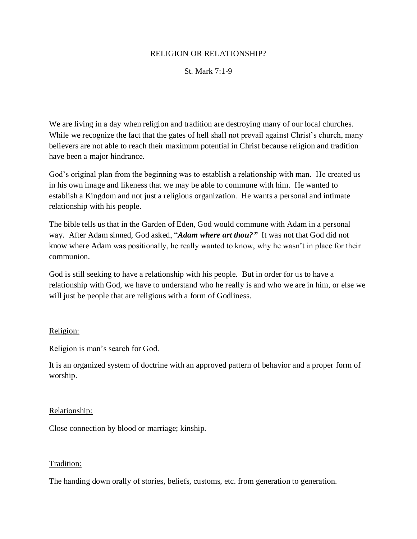### RELIGION OR RELATIONSHIP?

## St. Mark 7:1-9

We are living in a day when religion and tradition are destroying many of our local churches. While we recognize the fact that the gates of hell shall not prevail against Christ's church, many believers are not able to reach their maximum potential in Christ because religion and tradition have been a major hindrance.

God's original plan from the beginning was to establish a relationship with man. He created us in his own image and likeness that we may be able to commune with him. He wanted to establish a Kingdom and not just a religious organization. He wants a personal and intimate relationship with his people.

The bible tells us that in the Garden of Eden, God would commune with Adam in a personal way. After Adam sinned, God asked, "*Adam where art thou?"* It was not that God did not know where Adam was positionally, he really wanted to know, why he wasn't in place for their communion.

God is still seeking to have a relationship with his people. But in order for us to have a relationship with God, we have to understand who he really is and who we are in him, or else we will just be people that are religious with a form of Godliness.

## Religion:

Religion is man's search for God.

It is an organized system of doctrine with an approved pattern of behavior and a proper form of worship.

#### Relationship:

Close connection by blood or marriage; kinship.

#### Tradition:

The handing down orally of stories, beliefs, customs, etc. from generation to generation.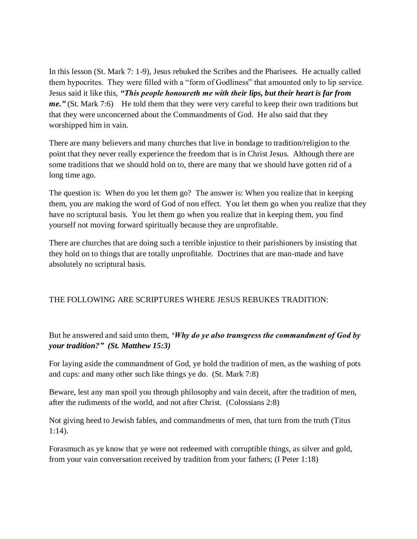In this lesson (St. Mark 7: 1-9), Jesus rebuked the Scribes and the Pharisees. He actually called them hypocrites. They were filled with a "form of Godliness" that amounted only to lip service. Jesus said it like this, *"This people honoureth me with their lips, but their heart is far from me.*" (St. Mark 7:6) He told them that they were very careful to keep their own traditions but that they were unconcerned about the Commandments of God. He also said that they worshipped him in vain.

There are many believers and many churches that live in bondage to tradition/religion to the point that they never really experience the freedom that is in Christ Jesus. Although there are some traditions that we should hold on to, there are many that we should have gotten rid of a long time ago.

The question is: When do you let them go? The answer is: When you realize that in keeping them, you are making the word of God of non effect. You let them go when you realize that they have no scriptural basis. You let them go when you realize that in keeping them, you find yourself not moving forward spiritually because they are unprofitable.

There are churches that are doing such a terrible injustice to their parishioners by insisting that they hold on to things that are totally unprofitable. Doctrines that are man-made and have absolutely no scriptural basis.

# THE FOLLOWING ARE SCRIPTURES WHERE JESUS REBUKES TRADITION:

But he answered and said unto them, *'Why do ye also transgress the commandment of God by your tradition?" (St. Matthew 15:3)*

For laying aside the commandment of God, ye hold the tradition of men, as the washing of pots and cups: and many other such like things ye do. (St. Mark 7:8)

Beware, lest any man spoil you through philosophy and vain deceit, after the tradition of men, after the rudiments of the world, and not after Christ. (Colossians 2:8)

Not giving heed to Jewish fables, and commandments of men, that turn from the truth (Titus 1:14).

Forasmuch as ye know that ye were not redeemed with corruptible things, as silver and gold, from your vain conversation received by tradition from your fathers; (I Peter 1:18)